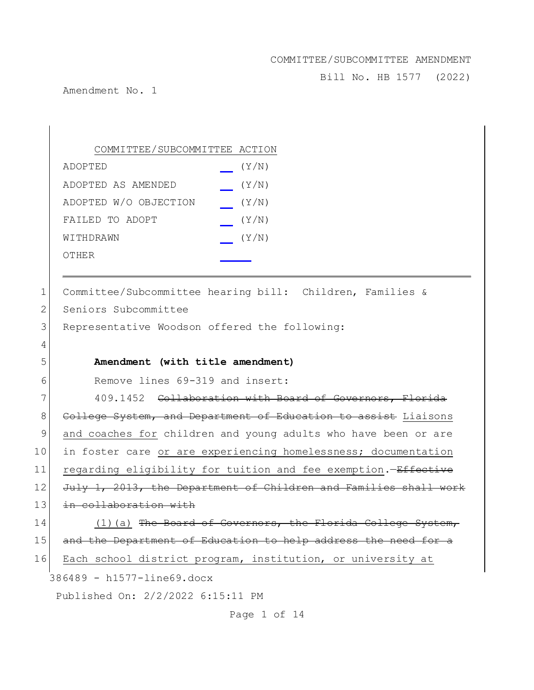Bill No. HB 1577 (2022)

Amendment No. 1

| COMMITTEE/SUBCOMMITTEE ACTION |       |
|-------------------------------|-------|
| ADOPTED                       | (Y/N) |
| ADOPTED AS AMENDED            | (Y/N) |
| ADOPTED W/O OBJECTION         | (Y/N) |
| FAILED TO ADOPT               | (Y/N) |
| WITHDRAWN                     | (Y/N) |
| OTHER                         |       |

| 1                          | Committee/Subcommittee hearing bill: Children, Families &        |  |
|----------------------------|------------------------------------------------------------------|--|
| 2                          | Seniors Subcommittee                                             |  |
| 3                          | Representative Woodson offered the following:                    |  |
| 4                          |                                                                  |  |
| 5                          | Amendment (with title amendment)                                 |  |
| 6                          | Remove lines 69-319 and insert:                                  |  |
| 7                          | 409.1452 Collaboration with Board of Governors, Florida          |  |
| 8                          | College System, and Department of Education to assist Liaisons   |  |
| 9                          | and coaches for children and young adults who have been or are   |  |
| 10                         | in foster care or are experiencing homelessness; documentation   |  |
| 11                         | regarding eligibility for tuition and fee exemption. - Effective |  |
| 12                         | July 1, 2013, the Department of Children and Families shall work |  |
| 13                         | in collaboration with                                            |  |
| 14                         | $(1)$ (a) The Board of Governors, the Florida College System,    |  |
| 15                         | and the Department of Education to help address the need for a   |  |
| 16                         | Each school district program, institution, or university at      |  |
| 386489 - h1577-line69.docx |                                                                  |  |
|                            | Published On: 2/2/2022 6:15:11 PM                                |  |

Page 1 of 14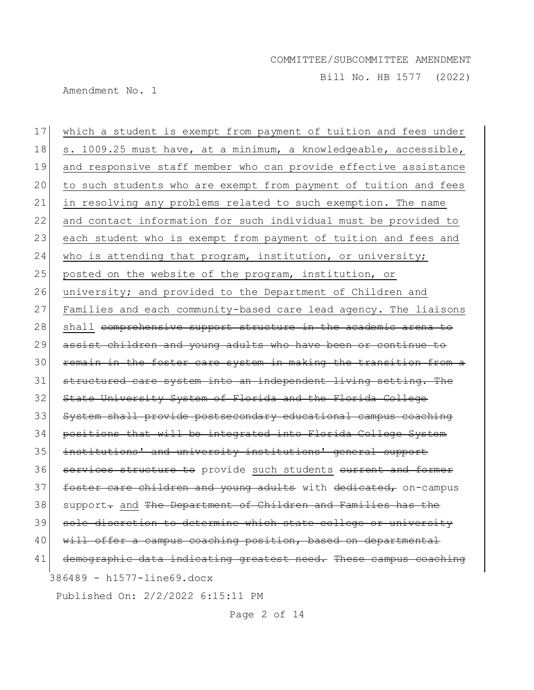Bill No. HB 1577 (2022)

Amendment No. 1

386489 - h1577-line69.docx 17 which a student is exempt from payment of tuition and fees under 18 s. 1009.25 must have, at a minimum, a knowledgeable, accessible, 19 and responsive staff member who can provide effective assistance 20 to such students who are exempt from payment of tuition and fees 21 in resolving any problems related to such exemption. The name 22 and contact information for such individual must be provided to 23 each student who is exempt from payment of tuition and fees and 24 who is attending that program, institution, or university; 25 posted on the website of the program, institution, or 26 university; and provided to the Department of Children and 27 Families and each community-based care lead agency. The liaisons 28 shall comprehensive support structure in the academic arena to 29 assist children and young adults who have been or continue to 30 remain in the foster care system in making the transition from a 31 structured care system into an independent living setting. The 32 State University System of Florida and the Florida College 33 System shall provide postsecondary educational campus coaching 34 positions that will be integrated into Florida College System 35 institutions' and university institutions' general support 36 services structure to provide such students eurrent and former 37 **foster care children and young adults** with dedicated, on-campus 38 support- and The Department of Children and Families has the 39 sole discretion to determine which state college or university 40 will offer a campus coaching position, based on departmental 41 demographic data indicating greatest need. These campus coaching

Published On: 2/2/2022 6:15:11 PM

Page 2 of 14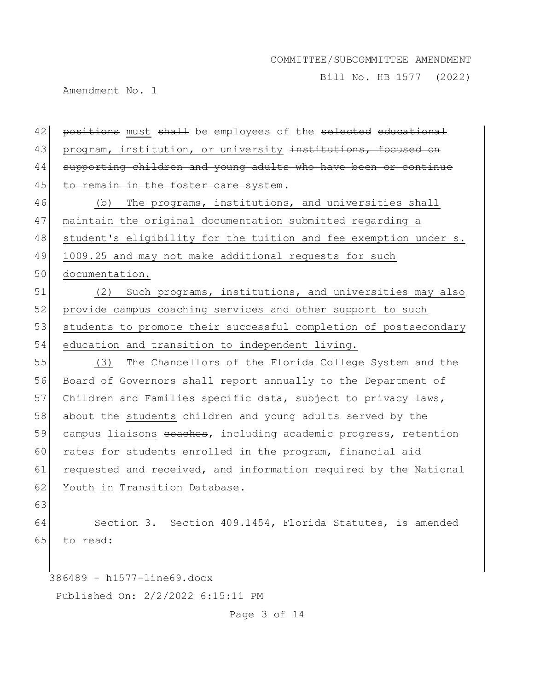Bill No. HB 1577 (2022)

Amendment No. 1

386489 - h1577-line69.docx 42 positions must shall be employees of the selected educational 43 program, institution, or university institutions, focused on 44 supporting children and young adults who have been or continue 45 to remain in the foster care system. 46 (b) The programs, institutions, and universities shall 47 maintain the original documentation submitted regarding a 48 student's eligibility for the tuition and fee exemption under s. 49 1009.25 and may not make additional requests for such 50 documentation. 51 (2) Such programs, institutions, and universities may also 52 provide campus coaching services and other support to such 53 students to promote their successful completion of postsecondary 54 education and transition to independent living. 55 (3) The Chancellors of the Florida College System and the 56 Board of Governors shall report annually to the Department of 57 Children and Families specific data, subject to privacy laws, 58 about the students children and young adults served by the 59 campus liaisons eoaches, including academic progress, retention 60 rates for students enrolled in the program, financial aid 61 requested and received, and information required by the National 62 Youth in Transition Database. 63 64 Section 3. Section 409.1454, Florida Statutes, is amended 65 to read:

Published On: 2/2/2022 6:15:11 PM

Page 3 of 14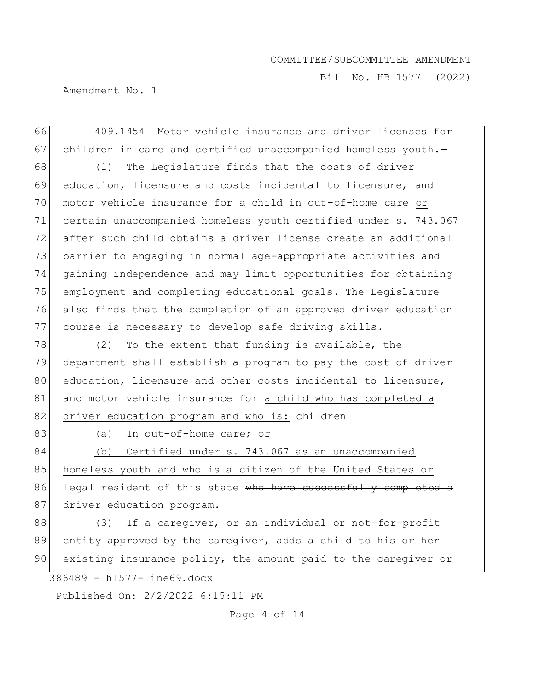Bill No. HB 1577 (2022)

Amendment No. 1

66 409.1454 Motor vehicle insurance and driver licenses for 67 children in care and certified unaccompanied homeless youth.-68 (1) The Legislature finds that the costs of driver 69 education, licensure and costs incidental to licensure, and 70 motor vehicle insurance for a child in out-of-home care or 71 certain unaccompanied homeless youth certified under s. 743.067 72 after such child obtains a driver license create an additional 73 barrier to engaging in normal age-appropriate activities and 74 gaining independence and may limit opportunities for obtaining 75 employment and completing educational goals. The Legislature 76 also finds that the completion of an approved driver education 77 course is necessary to develop safe driving skills.  $78$  (2) To the extent that funding is available, the 79 department shall establish a program to pay the cost of driver 80 education, licensure and other costs incidental to licensure, 81 and motor vehicle insurance for a child who has completed a 82 driver education program and who is: children 83 (a) In out-of-home care; or 84 (b) Certified under s. 743.067 as an unaccompanied 85 homeless youth and who is a citizen of the United States or 86 legal resident of this state who have successfully completed a 87 driver education program. 88 (3) If a caregiver, or an individual or not-for-profit 89 entity approved by the caregiver, adds a child to his or her 90 existing insurance policy, the amount paid to the caregiver or

386489 - h1577-line69.docx

Published On: 2/2/2022 6:15:11 PM

Page 4 of 14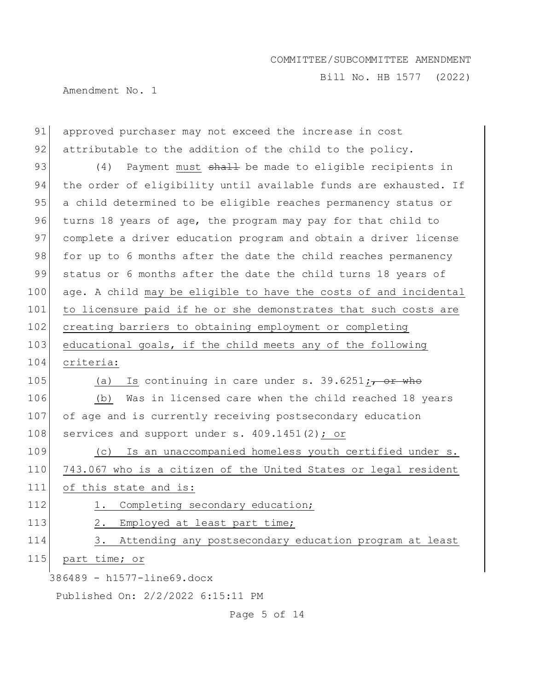Bill No. HB 1577 (2022)

Amendment No. 1

| 91                         | approved purchaser may not exceed the increase in cost            |  |
|----------------------------|-------------------------------------------------------------------|--|
| 92                         | attributable to the addition of the child to the policy.          |  |
| 93                         | Payment must shall be made to eligible recipients in<br>(4)       |  |
| 94                         | the order of eligibility until available funds are exhausted. If  |  |
| 95                         | a child determined to be eligible reaches permanency status or    |  |
| 96                         | turns 18 years of age, the program may pay for that child to      |  |
| 97                         | complete a driver education program and obtain a driver license   |  |
| 98                         | for up to 6 months after the date the child reaches permanency    |  |
| 99                         | status or 6 months after the date the child turns 18 years of     |  |
| 100                        | age. A child may be eligible to have the costs of and incidental  |  |
| 101                        | to licensure paid if he or she demonstrates that such costs are   |  |
| 102                        | creating barriers to obtaining employment or completing           |  |
| 103                        | educational goals, if the child meets any of the following        |  |
| 104                        | criteria:                                                         |  |
| 105                        | Is continuing in care under s. 39.6251;, or who<br>(a)            |  |
| 106                        | Was in licensed care when the child reached 18 years<br>(b)       |  |
| 107                        | of age and is currently receiving postsecondary education         |  |
| 108                        | services and support under s. 409.1451(2); or                     |  |
| 109                        | Is an unaccompanied homeless youth certified under s.<br>(C)      |  |
| 110                        | 743.067 who is a citizen of the United States or legal resident   |  |
| 111                        | of this state and is:                                             |  |
| 112                        | Completing secondary education;<br>1.                             |  |
| 113                        | 2. Employed at least part time;                                   |  |
| 114                        | Attending any postsecondary education program at least<br>$3_{-}$ |  |
| 115                        | part time; or                                                     |  |
| 386489 - h1577-line69.docx |                                                                   |  |
|                            | Published On: 2/2/2022 6:15:11 PM                                 |  |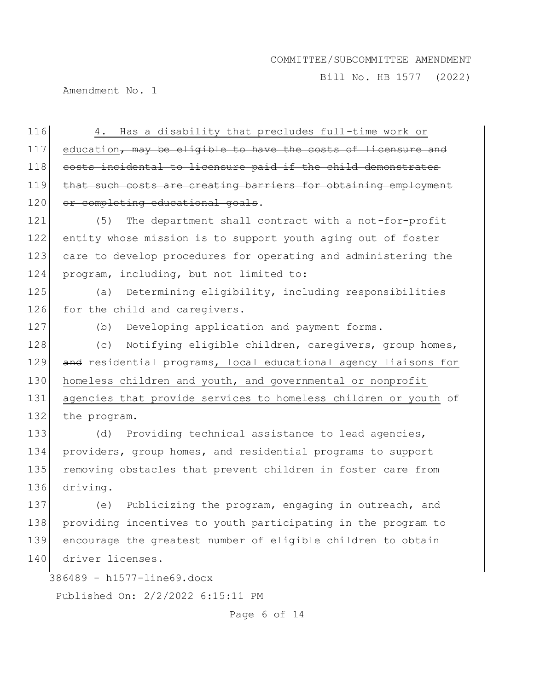Bill No. HB 1577 (2022)

Amendment No. 1

116 4. Has a disability that precludes full-time work or  $117$  education, may be eligible to have the costs of licensure and 118 costs incidental to licensure paid if the child demonstrates 119 that such costs are creating barriers for obtaining employment 120 or completing educational goals.

121 (5) The department shall contract with a not-for-profit 122 entity whose mission is to support youth aging out of foster 123 care to develop procedures for operating and administering the 124 program, including, but not limited to:

125 (a) Determining eligibility, including responsibilities 126 for the child and caregivers.

127 (b) Developing application and payment forms.

128 (c) Notifying eligible children, caregivers, group homes, 129 and residential programs, local educational agency liaisons for 130 homeless children and youth, and governmental or nonprofit 131 agencies that provide services to homeless children or youth of 132 the program.

133 (d) Providing technical assistance to lead agencies, 134 providers, group homes, and residential programs to support 135 removing obstacles that prevent children in foster care from 136 driving.

137 (e) Publicizing the program, engaging in outreach, and 138 providing incentives to youth participating in the program to 139 encourage the greatest number of eligible children to obtain 140 driver licenses.

386489 - h1577-line69.docx

Published On: 2/2/2022 6:15:11 PM

Page 6 of 14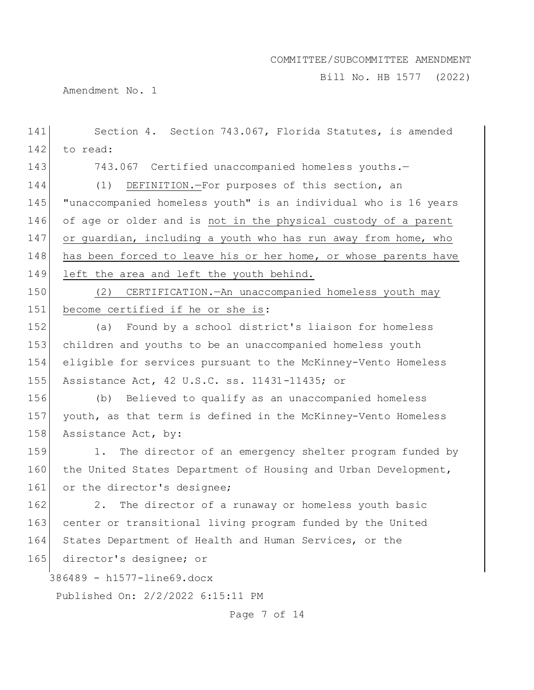Bill No. HB 1577 (2022)

Amendment No. 1

386489 - h1577-line69.docx Published On: 2/2/2022 6:15:11 PM Page 7 of 14 141 Section 4. Section 743.067, Florida Statutes, is amended 142 to read: 143 743.067 Certified unaccompanied homeless youths.— 144 (1) DEFINITION.—For purposes of this section, an 145 "unaccompanied homeless youth" is an individual who is 16 years 146 of age or older and is not in the physical custody of a parent  $147$  or quardian, including a youth who has run away from home, who 148 has been forced to leave his or her home, or whose parents have 149 left the area and left the youth behind. 150 (2) CERTIFICATION.—An unaccompanied homeless youth may 151 become certified if he or she is: 152 (a) Found by a school district's liaison for homeless 153 children and youths to be an unaccompanied homeless youth 154 eligible for services pursuant to the McKinney-Vento Homeless 155 Assistance Act, 42 U.S.C. ss. 11431-11435; or 156 (b) Believed to qualify as an unaccompanied homeless 157 youth, as that term is defined in the McKinney-Vento Homeless 158 Assistance Act, by: 159 1. The director of an emergency shelter program funded by 160 the United States Department of Housing and Urban Development, 161 or the director's designee; 162 2. The director of a runaway or homeless youth basic 163 center or transitional living program funded by the United 164 States Department of Health and Human Services, or the 165 director's designee; or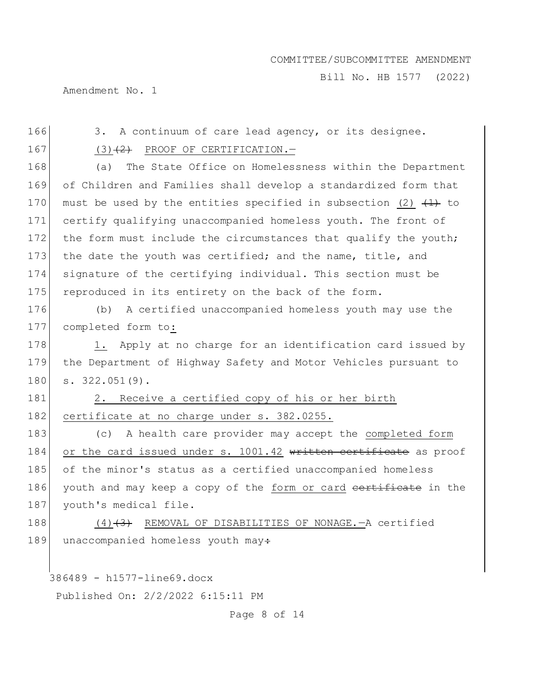Bill No. HB 1577 (2022)

Amendment No. 1

386489 - h1577-line69.docx 166 3. A continuum of care lead agency, or its designee.  $167$  (3)<del>(2)</del> PROOF OF CERTIFICATION. 168 (a) The State Office on Homelessness within the Department 169 of Children and Families shall develop a standardized form that 170 must be used by the entities specified in subsection (2)  $+1$  to 171 certify qualifying unaccompanied homeless youth. The front of 172 the form must include the circumstances that qualify the youth; 173 the date the youth was certified; and the name, title, and 174 signature of the certifying individual. This section must be 175 reproduced in its entirety on the back of the form. 176 (b) A certified unaccompanied homeless youth may use the 177 completed form to: 178 1. Apply at no charge for an identification card issued by 179 the Department of Highway Safety and Motor Vehicles pursuant to 180 s. 322.051(9). 181 2. Receive a certified copy of his or her birth 182 certificate at no charge under s. 382.0255. 183 (c) A health care provider may accept the completed form 184 or the card issued under s. 1001.42 written certificate as proof 185 of the minor's status as a certified unaccompanied homeless 186 youth and may keep a copy of the form or card certificate in the 187 youth's medical file. 188  $(4)$   $(3)$  REMOVAL OF DISABILITIES OF NONAGE. - A certified 189 unaccompanied homeless youth may $\div$ 

Published On: 2/2/2022 6:15:11 PM

Page 8 of 14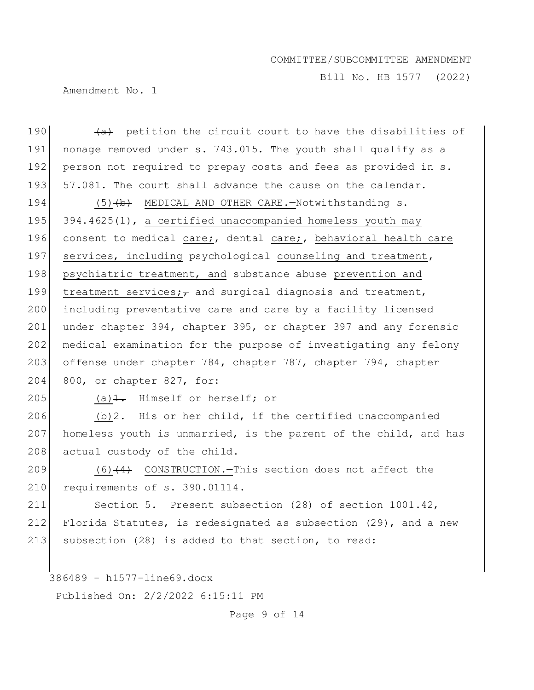Bill No. HB 1577 (2022)

Amendment No. 1

386489 - h1577-line69.docx 190  $\left(4\right)$  petition the circuit court to have the disabilities of 191 nonage removed under s. 743.015. The youth shall qualify as a 192 person not required to prepay costs and fees as provided in s. 193 57.081. The court shall advance the cause on the calendar. 194 (5) (b) MEDICAL AND OTHER CARE. - Notwithstanding s. 195 394.4625(1), a certified unaccompanied homeless youth may 196 consent to medical care; dental care; behavioral health care 197 services, including psychological counseling and treatment, 198 psychiatric treatment, and substance abuse prevention and 199 treatment services; and surgical diagnosis and treatment, 200 including preventative care and care by a facility licensed 201 under chapter 394, chapter 395, or chapter 397 and any forensic 202 medical examination for the purpose of investigating any felony 203 offense under chapter 784, chapter 787, chapter 794, chapter 204 800, or chapter 827, for: 205 (a) $\frac{1}{1}$ . Himself or herself; or 206  $(b)$   $\overline{2}$ . His or her child, if the certified unaccompanied 207 homeless youth is unmarried, is the parent of the child, and has 208 actual custody of the child. 209  $(6)$  (4) CONSTRUCTION. This section does not affect the 210 requirements of s. 390.01114. 211 Section 5. Present subsection (28) of section 1001.42, 212 Florida Statutes, is redesignated as subsection  $(29)$ , and a new 213 subsection (28) is added to that section, to read:

Published On: 2/2/2022 6:15:11 PM

Page 9 of 14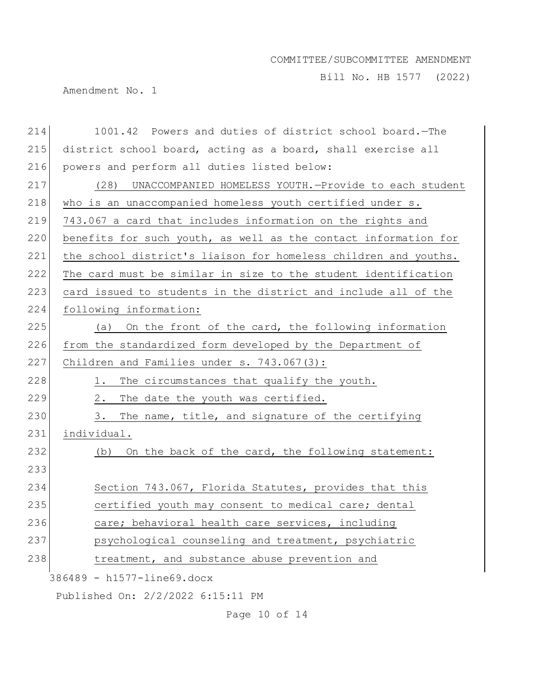Bill No. HB 1577 (2022)

Amendment No. 1

| 214                        | 1001.42 Powers and duties of district school board. - The       |  |
|----------------------------|-----------------------------------------------------------------|--|
| 215                        | district school board, acting as a board, shall exercise all    |  |
| 216                        | powers and perform all duties listed below:                     |  |
| 217                        | UNACCOMPANIED HOMELESS YOUTH.-Provide to each student<br>(28)   |  |
| 218                        | who is an unaccompanied homeless youth certified under s.       |  |
| 219                        | 743.067 a card that includes information on the rights and      |  |
| 220                        | benefits for such youth, as well as the contact information for |  |
| 221                        | the school district's liaison for homeless children and youths. |  |
| 222                        | The card must be similar in size to the student identification  |  |
| 223                        | card issued to students in the district and include all of the  |  |
| 224                        | following information:                                          |  |
| 225                        | (a) On the front of the card, the following information         |  |
| 226                        | from the standardized form developed by the Department of       |  |
| 227                        | Children and Families under s. 743.067(3):                      |  |
| 228                        | The circumstances that qualify the youth.<br>1.                 |  |
| 229                        | 2.<br>The date the youth was certified.                         |  |
| 230                        | The name, title, and signature of the certifying<br>3.          |  |
| 231                        | individual.                                                     |  |
| 232                        | On the back of the card, the following statement:<br>(b)        |  |
| 233                        |                                                                 |  |
| 234                        | Section 743.067, Florida Statutes, provides that this           |  |
| 235                        | certified youth may consent to medical care; dental             |  |
| 236                        | care; behavioral health care services, including                |  |
| 237                        | psychological counseling and treatment, psychiatric             |  |
| 238                        | treatment, and substance abuse prevention and                   |  |
| 386489 - h1577-line69.docx |                                                                 |  |
|                            | Published On: 2/2/2022 6:15:11 PM                               |  |

Page 10 of 14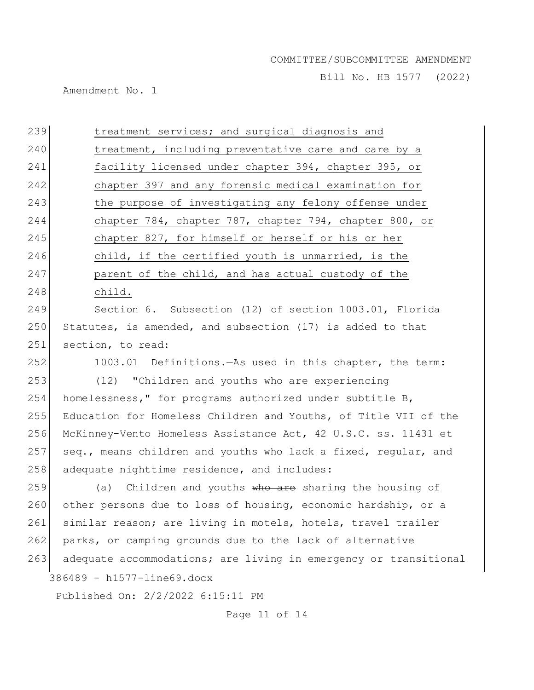Bill No. HB 1577 (2022)

Amendment No. 1

| 239 | treatment services; and surgical diagnosis and                   |
|-----|------------------------------------------------------------------|
| 240 | treatment, including preventative care and care by a             |
| 241 | facility licensed under chapter 394, chapter 395, or             |
| 242 | chapter 397 and any forensic medical examination for             |
| 243 | the purpose of investigating any felony offense under            |
| 244 | chapter 784, chapter 787, chapter 794, chapter 800, or           |
| 245 | chapter 827, for himself or herself or his or her                |
| 246 | child, if the certified youth is unmarried, is the               |
| 247 | parent of the child, and has actual custody of the               |
| 248 | child.                                                           |
| 249 | Section 6. Subsection (12) of section 1003.01, Florida           |
| 250 | Statutes, is amended, and subsection (17) is added to that       |
| 251 | section, to read:                                                |
| 252 | 1003.01 Definitions. - As used in this chapter, the term:        |
| 253 | (12) "Children and youths who are experiencing                   |
| 254 | homelessness," for programs authorized under subtitle B,         |
| 255 | Education for Homeless Children and Youths, of Title VII of the  |
| 256 | McKinney-Vento Homeless Assistance Act, 42 U.S.C. ss. 11431 et   |
| 257 | seq., means children and youths who lack a fixed, regular, and   |
| 258 | adequate nighttime residence, and includes:                      |
| 259 | Children and youths who are sharing the housing of<br>(a)        |
| 260 | other persons due to loss of housing, economic hardship, or a    |
| 261 | similar reason; are living in motels, hotels, travel trailer     |
| 262 | parks, or camping grounds due to the lack of alternative         |
| 263 | adequate accommodations; are living in emergency or transitional |
|     | 386489 - h1577-line69.docx                                       |
|     | Published On: 2/2/2022 6:15:11 PM                                |

Page 11 of 14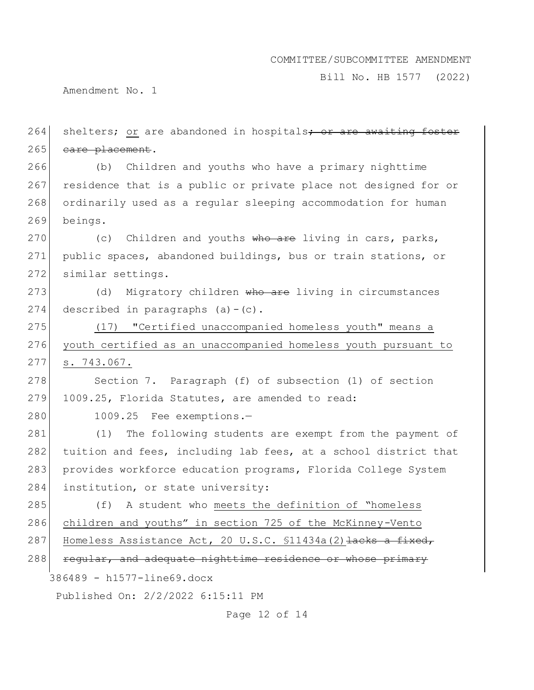Bill No. HB 1577 (2022)

Amendment No. 1

264 shelters; or are abandoned in hospitals<del>; or are awaiting foster</del> 265 care placement. 266 (b) Children and youths who have a primary nighttime 267 residence that is a public or private place not designed for or 268 ordinarily used as a regular sleeping accommodation for human 269 beings.

270 (c) Children and youths who are living in cars, parks, 271 public spaces, abandoned buildings, bus or train stations, or 272 similar settings.

273 (d) Migratory children who are living in circumstances 274 described in paragraphs  $(a) - (c)$ .

275 (17) "Certified unaccompanied homeless youth" means a 276 youth certified as an unaccompanied homeless youth pursuant to 277 s. 743.067.

278 Section 7. Paragraph (f) of subsection (1) of section 279 1009.25, Florida Statutes, are amended to read:

280 1009.25 Fee exemptions.

281 (1) The following students are exempt from the payment of 282 tuition and fees, including lab fees, at a school district that 283 provides workforce education programs, Florida College System 284 institution, or state university:

285 (f) A student who meets the definition of "homeless 286 children and youths" in section 725 of the McKinney-Vento 287 Homeless Assistance Act, 20 U.S.C. \$11434a(2) Hacks a fixed, 288 regular, and adequate nighttime residence or whose primary

386489 - h1577-line69.docx

Published On: 2/2/2022 6:15:11 PM

Page 12 of 14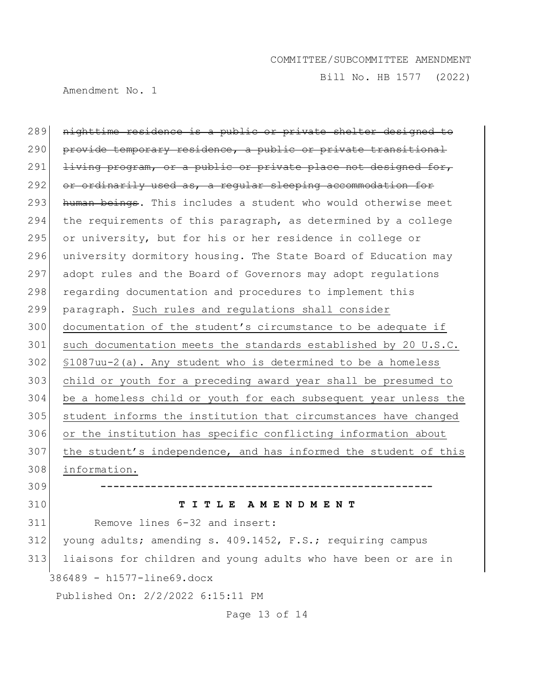Bill No. HB 1577 (2022)

Amendment No. 1

386489 - h1577-line69.docx Published On: 2/2/2022 6:15:11 PM nighttime residence is a public or private shelter designed to provide temporary residence, a public or private transitional living program, or a public or private place not designed for, or ordinarily used as, a regular sleeping accommodation for human beings. This includes a student who would otherwise meet 294 the requirements of this paragraph, as determined by a college 295 or university, but for his or her residence in college or university dormitory housing. The State Board of Education may adopt rules and the Board of Governors may adopt regulations 298 regarding documentation and procedures to implement this paragraph. Such rules and regulations shall consider documentation of the student's circumstance to be adequate if 301 such documentation meets the standards established by 20 U.S.C. §1087uu-2(a). Any student who is determined to be a homeless child or youth for a preceding award year shall be presumed to be a homeless child or youth for each subsequent year unless the student informs the institution that circumstances have changed or the institution has specific conflicting information about 307 the student's independence, and has informed the student of this information. **----------------------------------------------------- T I T L E A M E N D M E N T** Remove lines 6-32 and insert: young adults; amending s. 409.1452, F.S.; requiring campus liaisons for children and young adults who have been or are in

Page 13 of 14